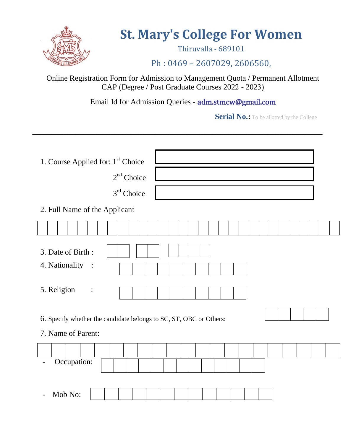

# **St. Mary's College For Women**

Thiruvalla - 689101

# Ph : 0469 – 2607029, 2606560,

Online Registration Form for Admission to Management Quota / Permanent Allotment CAP (Degree / Post Graduate Courses 2022 - 2023)

Email Id for Admission Queries - adm.stmcw@gmail.com

**\_\_\_\_\_\_\_\_\_\_\_\_\_\_\_\_\_\_\_\_\_\_\_\_\_\_\_\_\_\_\_\_\_\_\_\_\_\_\_\_\_\_\_\_\_\_\_\_\_\_\_\_\_\_\_\_\_\_\_\_\_\_\_\_\_\_\_\_\_\_\_\_\_\_** 

**Serial No.:** To be allotted by the College

| 1. Course Applied for: 1 <sup>st</sup> Choice                                            |  |  |  |  |  |  |  |
|------------------------------------------------------------------------------------------|--|--|--|--|--|--|--|
| $2nd$ Choice                                                                             |  |  |  |  |  |  |  |
| $3rd$ Choice                                                                             |  |  |  |  |  |  |  |
| 2. Full Name of the Applicant                                                            |  |  |  |  |  |  |  |
|                                                                                          |  |  |  |  |  |  |  |
| 3. Date of Birth:<br>4. Nationality<br>$\ddot{\cdot}$                                    |  |  |  |  |  |  |  |
| 5. Religion<br>:                                                                         |  |  |  |  |  |  |  |
| 6. Specify whether the candidate belongs to SC, ST, OBC or Others:<br>7. Name of Parent: |  |  |  |  |  |  |  |
|                                                                                          |  |  |  |  |  |  |  |
| Occupation:                                                                              |  |  |  |  |  |  |  |
|                                                                                          |  |  |  |  |  |  |  |
| Mob No:                                                                                  |  |  |  |  |  |  |  |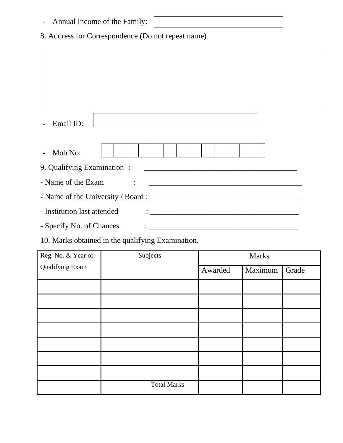| Annual Income of the Family:                       |                                                      |  |  |  |  |  |
|----------------------------------------------------|------------------------------------------------------|--|--|--|--|--|
| 8. Address for Correspondence (Do not repeat name) |                                                      |  |  |  |  |  |
|                                                    |                                                      |  |  |  |  |  |
|                                                    |                                                      |  |  |  |  |  |
|                                                    |                                                      |  |  |  |  |  |
|                                                    |                                                      |  |  |  |  |  |
| Email ID:                                          |                                                      |  |  |  |  |  |
| Mob No:                                            |                                                      |  |  |  |  |  |
| 9. Qualifying Examination:                         |                                                      |  |  |  |  |  |
| - Name of the Exam                                 | <u> 1980 - Jan Barnett, fransk politik (d. 1980)</u> |  |  |  |  |  |
|                                                    |                                                      |  |  |  |  |  |
| - Institution last attended                        |                                                      |  |  |  |  |  |
| - Specify No. of Chances                           |                                                      |  |  |  |  |  |

10. Marks obtained in the qualifying Examination.

| Reg. No. & Year of     | Subjects           | <b>Marks</b> |         |       |
|------------------------|--------------------|--------------|---------|-------|
| <b>Qualifying Exam</b> |                    | Awarded      | Maximum | Grade |
|                        |                    |              |         |       |
|                        |                    |              |         |       |
|                        |                    |              |         |       |
|                        |                    |              |         |       |
|                        |                    |              |         |       |
|                        |                    |              |         |       |
|                        |                    |              |         |       |
|                        | <b>Total Marks</b> |              |         |       |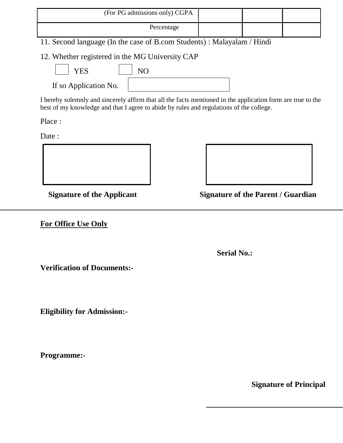| (For PG admissions only) CGPA |  |  |
|-------------------------------|--|--|
| Percentage                    |  |  |

11. Second language (In the case of B.com Students) : Malayalam / Hindi

12. Whether registered in the MG University CAP

If so Application No.

| NO |  |  |  |
|----|--|--|--|
|    |  |  |  |

I hereby solemnly and sincerely affirm that all the facts mentioned in the application form are true to the best of my knowledge and that I agree to abide by rules and regulations of the college.

Place :

Date :





**Signature of the Applicant Signature of the Parent / Guardian** 

**For Office Use Only** 

 **Serial No.:**

**Verification of Documents:-**

**Eligibility for Admission:-**

**Programme:-** 

**Signature of Principal**